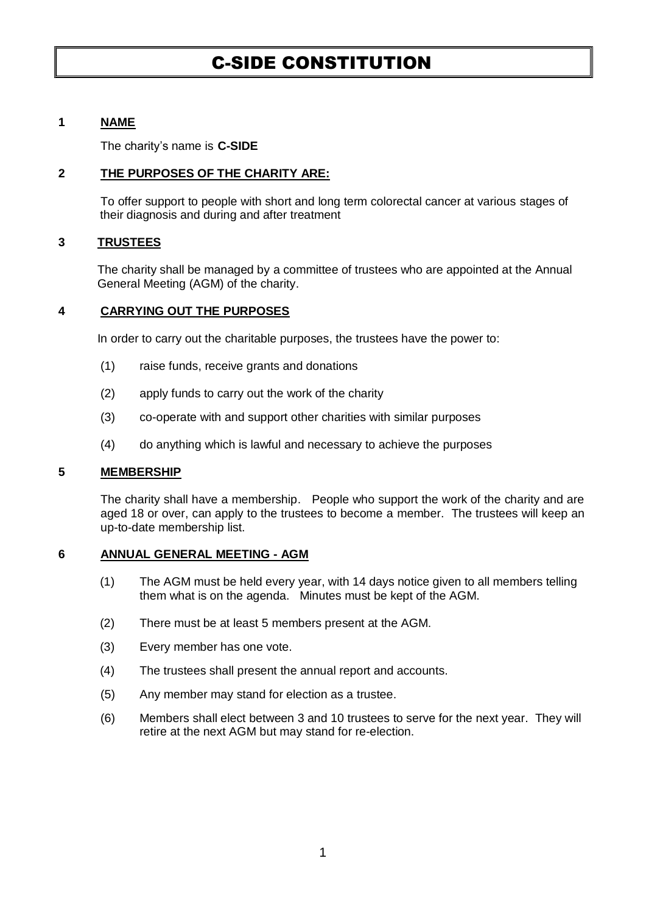# C-SIDE CONSTITUTION

# **1 NAME**

The charity's name is **C-SIDE**

## **2 THE PURPOSES OF THE CHARITY ARE:**

To offer support to people with short and long term colorectal cancer at various stages of their diagnosis and during and after treatment

# **3 TRUSTEES**

The charity shall be managed by a committee of trustees who are appointed at the Annual General Meeting (AGM) of the charity.

# **4 CARRYING OUT THE PURPOSES**

In order to carry out the charitable purposes, the trustees have the power to:

- (1) raise funds, receive grants and donations
- (2) apply funds to carry out the work of the charity
- (3) co-operate with and support other charities with similar purposes
- (4) do anything which is lawful and necessary to achieve the purposes

### **5 MEMBERSHIP**

The charity shall have a membership. People who support the work of the charity and are aged 18 or over, can apply to the trustees to become a member. The trustees will keep an up-to-date membership list.

### **6 ANNUAL GENERAL MEETING - AGM**

- (1) The AGM must be held every year, with 14 days notice given to all members telling them what is on the agenda. Minutes must be kept of the AGM.
- (2) There must be at least 5 members present at the AGM.
- (3) Every member has one vote.
- (4) The trustees shall present the annual report and accounts.
- (5) Any member may stand for election as a trustee.
- (6) Members shall elect between 3 and 10 trustees to serve for the next year. They will retire at the next AGM but may stand for re-election.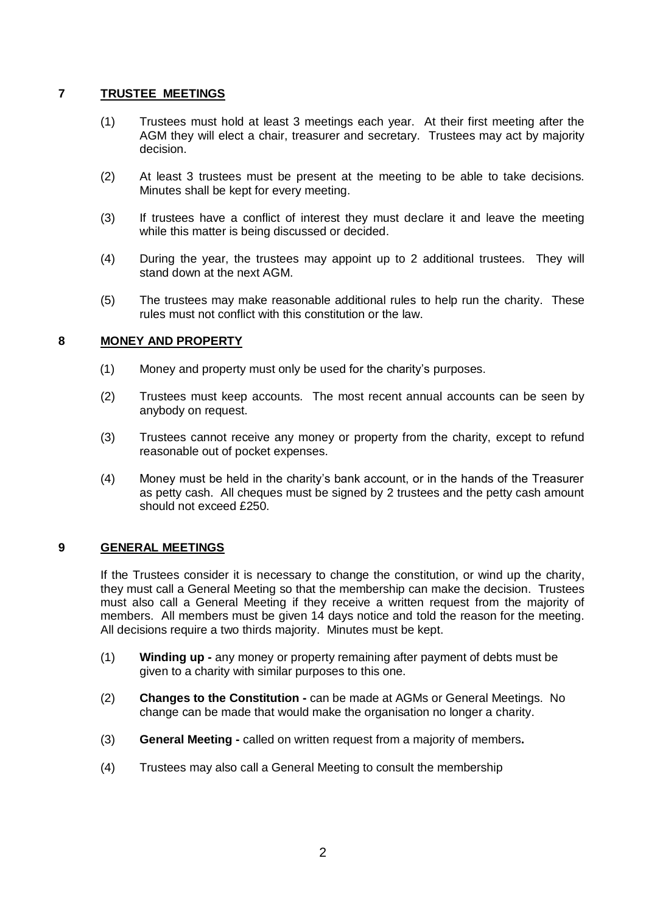# **7 TRUSTEE MEETINGS**

- (1) Trustees must hold at least 3 meetings each year. At their first meeting after the AGM they will elect a chair, treasurer and secretary. Trustees may act by majority decision.
- (2) At least 3 trustees must be present at the meeting to be able to take decisions. Minutes shall be kept for every meeting.
- (3) If trustees have a conflict of interest they must declare it and leave the meeting while this matter is being discussed or decided.
- (4) During the year, the trustees may appoint up to 2 additional trustees. They will stand down at the next AGM.
- (5) The trustees may make reasonable additional rules to help run the charity. These rules must not conflict with this constitution or the law.

# **8 MONEY AND PROPERTY**

- (1) Money and property must only be used for the charity's purposes.
- (2) Trustees must keep accounts. The most recent annual accounts can be seen by anybody on request.
- (3) Trustees cannot receive any money or property from the charity, except to refund reasonable out of pocket expenses.
- (4) Money must be held in the charity's bank account, or in the hands of the Treasurer as petty cash. All cheques must be signed by 2 trustees and the petty cash amount should not exceed £250.

### **9 GENERAL MEETINGS**

If the Trustees consider it is necessary to change the constitution, or wind up the charity, they must call a General Meeting so that the membership can make the decision. Trustees must also call a General Meeting if they receive a written request from the majority of members. All members must be given 14 days notice and told the reason for the meeting. All decisions require a two thirds majority. Minutes must be kept.

- (1) **Winding up -** any money or property remaining after payment of debts must be given to a charity with similar purposes to this one.
- (2) **Changes to the Constitution -** can be made at AGMs or General Meetings. No change can be made that would make the organisation no longer a charity.
- (3) **General Meeting -** called on written request from a majority of members**.**
- (4) Trustees may also call a General Meeting to consult the membership